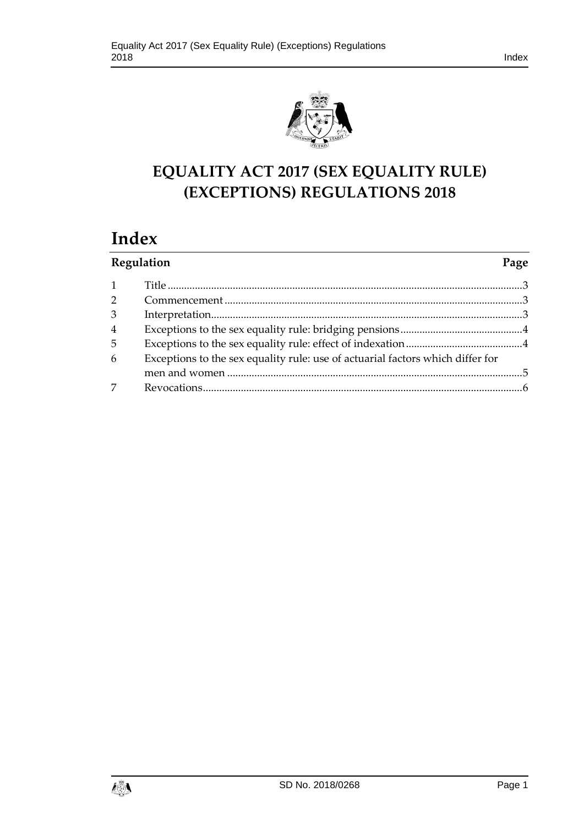

# **EQUALITY ACT 2017 (SEX EQUALITY RULE) (EXCEPTIONS) REGULATIONS 2018**

# **Index**

| Regulation     |                                                                                | Page |
|----------------|--------------------------------------------------------------------------------|------|
|                |                                                                                |      |
| $\overline{2}$ |                                                                                |      |
| 3              |                                                                                |      |
| $\overline{4}$ |                                                                                |      |
| 5              |                                                                                |      |
| 6              | Exceptions to the sex equality rule: use of actuarial factors which differ for |      |
|                |                                                                                |      |
| 7              |                                                                                |      |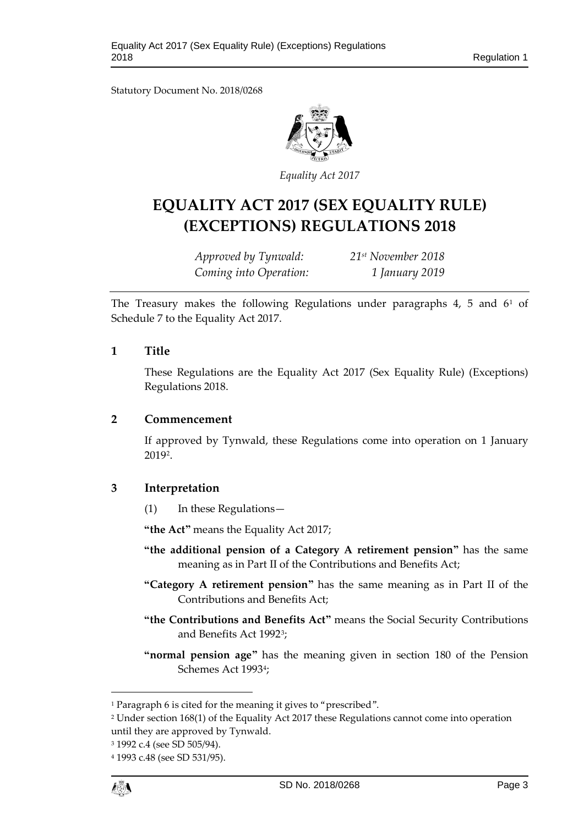Statutory Document No. 2018/0268



*Equality Act 2017*

# **EQUALITY ACT 2017 (SEX EQUALITY RULE) (EXCEPTIONS) REGULATIONS 2018**

*Approved by Tynwald: 21st November 2018 Coming into Operation: 1 January 2019*

The Treasury makes the following Regulations under paragraphs 4, 5 and 6[1](#page-2-3) of Schedule 7 to the Equality Act 2017.

### <span id="page-2-0"></span>**1 Title**

These Regulations are the Equality Act 2017 (Sex Equality Rule) (Exceptions) Regulations 2018.

## <span id="page-2-1"></span>**2 Commencement**

If approved by Tynwald, these Regulations come into operation on 1 January 2019[2](#page-2-4).

## <span id="page-2-2"></span>**3 Interpretation**

(1) In these Regulations—

**"the Act"** means the Equality Act 2017;

- **"the additional pension of a Category A retirement pension"** has the same meaning as in Part II of the Contributions and Benefits Act;
- **"Category A retirement pension"** has the same meaning as in Part II of the Contributions and Benefits Act;
- **"the Contributions and Benefits Act"** means the Social Security Contributions and Benefits Act 1992[3;](#page-2-5)
- **"normal pension age"** has the meaning given in section 180 of the Pension Schemes Act 199[34;](#page-2-6)

 $\overline{a}$ 

<span id="page-2-3"></span><sup>1</sup> Paragraph 6 is cited for the meaning it gives to "prescribed".

<span id="page-2-4"></span><sup>2</sup> Under section 168(1) of the Equality Act 2017 these Regulations cannot come into operation until they are approved by Tynwald.

<span id="page-2-5"></span><sup>3</sup> 1992 c.4 (see SD 505/94).

<span id="page-2-6"></span><sup>4</sup> 1993 c.48 (see SD 531/95).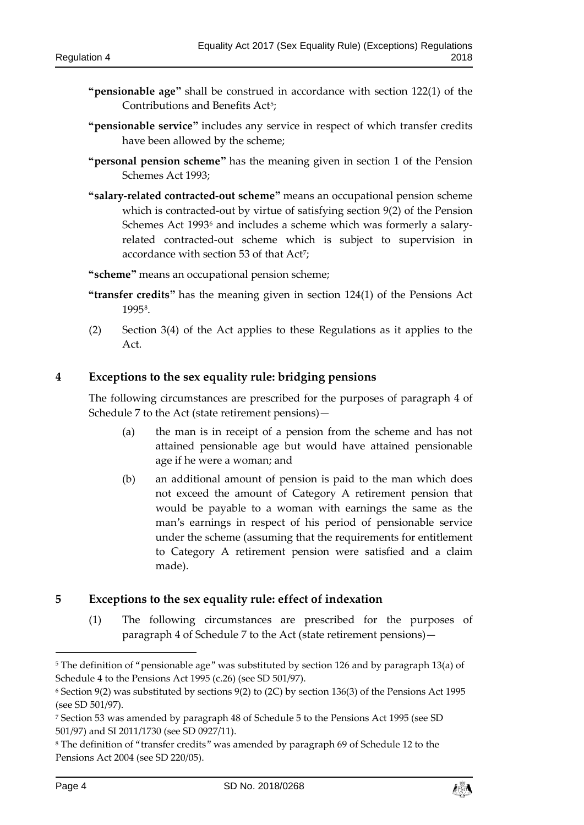- **"pensionable age"** shall be construed in accordance with section 122(1) of the Contributions and Benefits Act<sup>[5](#page-3-2)</sup>;
- **"pensionable service"** includes any service in respect of which transfer credits have been allowed by the scheme;
- **"personal pension scheme"** has the meaning given in section 1 of the Pension Schemes Act 1993;
- **"salary-related contracted-out scheme"** means an occupational pension scheme which is contracted-out by virtue of satisfying section 9(2) of the Pension Schemes Act 1993<sup>[6](#page-3-3)</sup> and includes a scheme which was formerly a salaryrelated contracted-out scheme which is subject to supervision in accordance with section 53 of that Act<sup>[7](#page-3-4)</sup>;

**"scheme"** means an occupational pension scheme;

- **"transfer credits"** has the meaning given in section 124(1) of the Pensions Act 1995[8](#page-3-5).
- (2) Section 3(4) of the Act applies to these Regulations as it applies to the Act.

### <span id="page-3-0"></span>**4 Exceptions to the sex equality rule: bridging pensions**

The following circumstances are prescribed for the purposes of paragraph 4 of Schedule 7 to the Act (state retirement pensions)—

- (a) the man is in receipt of a pension from the scheme and has not attained pensionable age but would have attained pensionable age if he were a woman; and
- (b) an additional amount of pension is paid to the man which does not exceed the amount of Category A retirement pension that would be payable to a woman with earnings the same as the man's earnings in respect of his period of pensionable service under the scheme (assuming that the requirements for entitlement to Category A retirement pension were satisfied and a claim made).

## <span id="page-3-1"></span>**5 Exceptions to the sex equality rule: effect of indexation**

(1) The following circumstances are prescribed for the purposes of paragraph 4 of Schedule 7 to the Act (state retirement pensions)—

<u>.</u>



<span id="page-3-2"></span><sup>5</sup> The definition of "pensionable age" was substituted by section 126 and by paragraph 13(a) of Schedule 4 to the Pensions Act 1995 (c.26) (see SD 501/97).

<span id="page-3-3"></span><sup>6</sup> Section 9(2) was substituted by sections 9(2) to (2C) by section 136(3) of the Pensions Act 1995 (see SD 501/97).

<span id="page-3-4"></span><sup>7</sup> Section 53 was amended by paragraph 48 of Schedule 5 to the Pensions Act 1995 (see SD 501/97) and SI 2011/1730 (see SD 0927/11).

<span id="page-3-5"></span><sup>8</sup> The definition of "transfer credits" was amended by paragraph 69 of Schedule 12 to the Pensions Act 2004 (see SD 220/05).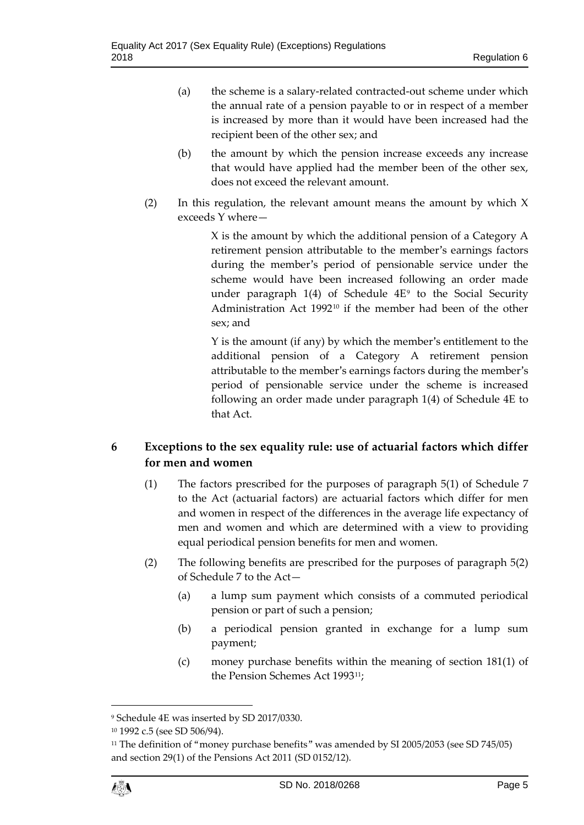- (a) the scheme is a salary-related contracted-out scheme under which the annual rate of a pension payable to or in respect of a member is increased by more than it would have been increased had the recipient been of the other sex; and
- (b) the amount by which the pension increase exceeds any increase that would have applied had the member been of the other sex, does not exceed the relevant amount.
- (2) In this regulation, the relevant amount means the amount by which X exceeds Y where—

X is the amount by which the additional pension of a Category A retirement pension attributable to the member's earnings factors during the member's period of pensionable service under the scheme would have been increased following an order made under paragraph  $1(4)$  of Schedule  $4E<sup>9</sup>$  $4E<sup>9</sup>$  $4E<sup>9</sup>$  to the Social Security Administration Act 199[210](#page-4-2) if the member had been of the other sex; and

Y is the amount (if any) by which the member's entitlement to the additional pension of a Category A retirement pension attributable to the member's earnings factors during the member's period of pensionable service under the scheme is increased following an order made under paragraph 1(4) of Schedule 4E to that Act.

# <span id="page-4-0"></span>**6 Exceptions to the sex equality rule: use of actuarial factors which differ for men and women**

- (1) The factors prescribed for the purposes of paragraph 5(1) of Schedule 7 to the Act (actuarial factors) are actuarial factors which differ for men and women in respect of the differences in the average life expectancy of men and women and which are determined with a view to providing equal periodical pension benefits for men and women.
- (2) The following benefits are prescribed for the purposes of paragraph 5(2) of Schedule 7 to the Act—
	- (a) a lump sum payment which consists of a commuted periodical pension or part of such a pension;
	- (b) a periodical pension granted in exchange for a lump sum payment;
	- (c) money purchase benefits within the meaning of section 181(1) of the Pension Schemes Act 1993[11](#page-4-3);

 $\overline{a}$ 

<span id="page-4-1"></span><sup>9</sup> Schedule 4E was inserted by SD 2017/0330.

<span id="page-4-2"></span><sup>10</sup> 1992 c.5 (see SD 506/94).

<span id="page-4-3"></span><sup>11</sup> The definition of "money purchase benefits" was amended by SI 2005/2053 (see SD 745/05) and section 29(1) of the Pensions Act 2011 (SD 0152/12).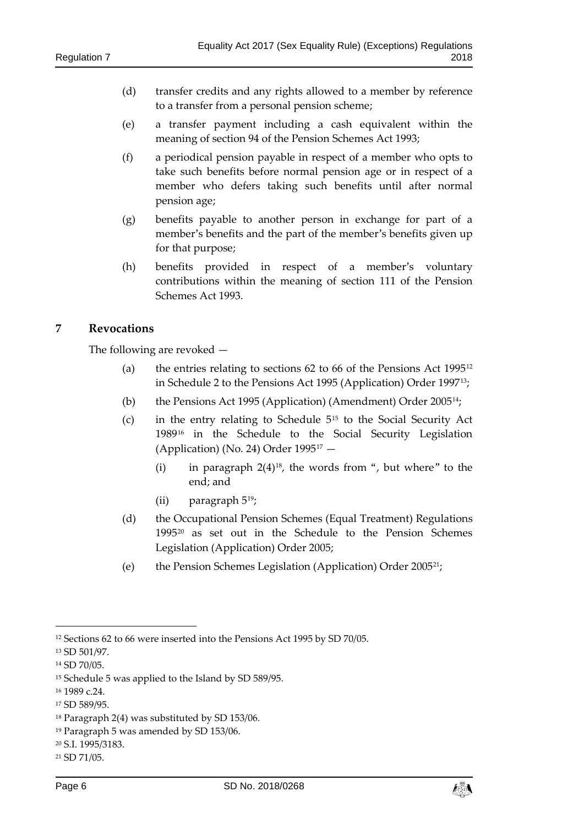- (d) transfer credits and any rights allowed to a member by reference to a transfer from a personal pension scheme;
- (e) a transfer payment including a cash equivalent within the meaning of section 94 of the Pension Schemes Act 1993;
- (f) a periodical pension payable in respect of a member who opts to take such benefits before normal pension age or in respect of a member who defers taking such benefits until after normal pension age;
- (g) benefits payable to another person in exchange for part of a member's benefits and the part of the member's benefits given up for that purpose;
- (h) benefits provided in respect of a member's voluntary contributions within the meaning of section 111 of the Pension Schemes Act 1993.

### <span id="page-5-0"></span>**7 Revocations**

The following are revoked —

- (a) the entries relating to sections  $62$  to  $66$  of the Pensions Act 1995<sup>[12](#page-5-1)</sup> in Schedule 2 to the Pensions Act 1995 (Application) Order 1997[13;](#page-5-2)
- (b) the Pensions Act 1995 (Application) (Amendment) Order 2005[14;](#page-5-3)
- (c) in the entry relating to Schedule 5[15](#page-5-4) to the Social Security Act 1989[16](#page-5-5) in the Schedule to the Social Security Legislation (Application) (No. 24) Order 1995[17](#page-5-6) —
	- (i) in paragraph  $2(4)^{18}$ , the words from ", but where" to the end; and
	- (ii) paragraph 5[19;](#page-5-8)
- (d) the Occupational Pension Schemes (Equal Treatment) Regulations 1995[20](#page-5-9) as set out in the Schedule to the Pension Schemes Legislation (Application) Order 2005;
- (e) the Pension Schemes Legislation (Application) Order 2005[21](#page-5-10);

<u>.</u>



<span id="page-5-1"></span><sup>&</sup>lt;sup>12</sup> Sections 62 to 66 were inserted into the Pensions Act 1995 by SD 70/05.

<span id="page-5-2"></span><sup>13</sup> SD 501/97.

<span id="page-5-3"></span><sup>14</sup> SD 70/05.

<span id="page-5-4"></span><sup>15</sup> Schedule 5 was applied to the Island by SD 589/95.

<span id="page-5-5"></span><sup>16</sup> 1989 c.24.

<span id="page-5-6"></span><sup>17</sup> SD 589/95.

<span id="page-5-7"></span><sup>18</sup> Paragraph 2(4) was substituted by SD 153/06.

<span id="page-5-8"></span><sup>19</sup> Paragraph 5 was amended by SD 153/06.

<span id="page-5-9"></span><sup>20</sup> S.I. 1995/3183.

<span id="page-5-10"></span><sup>21</sup> SD 71/05.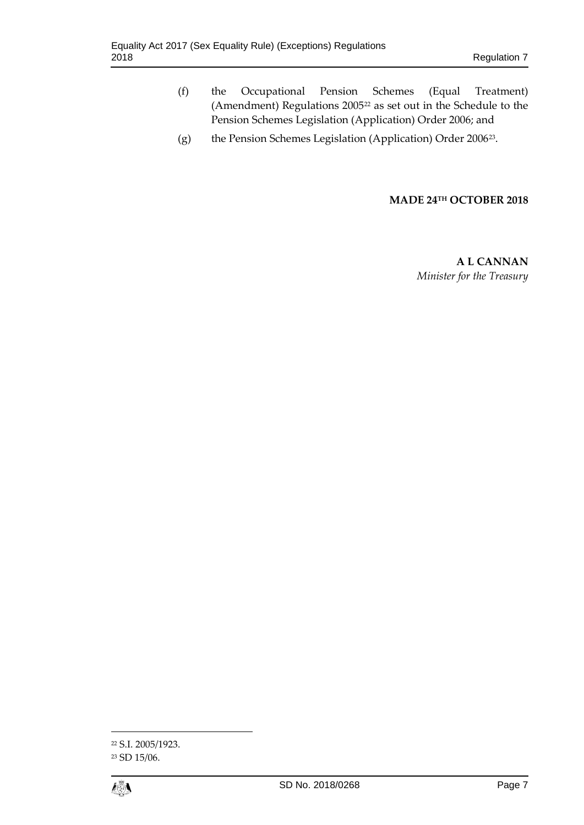- (f) the Occupational Pension Schemes (Equal Treatment) (Amendment) Regulations 2005<sup>[22](#page-6-0)</sup> as set out in the Schedule to the Pension Schemes Legislation (Application) Order 2006; and
- (g) the Pension Schemes Legislation (Application) Order 2006[23](#page-6-1).

#### **MADE 24TH OCTOBER 2018**

**A L CANNAN** *Minister for the Treasury*

<span id="page-6-1"></span><sup>23</sup> SD 15/06.



 $\overline{a}$ 

<span id="page-6-0"></span><sup>22</sup> S.I. 2005/1923.